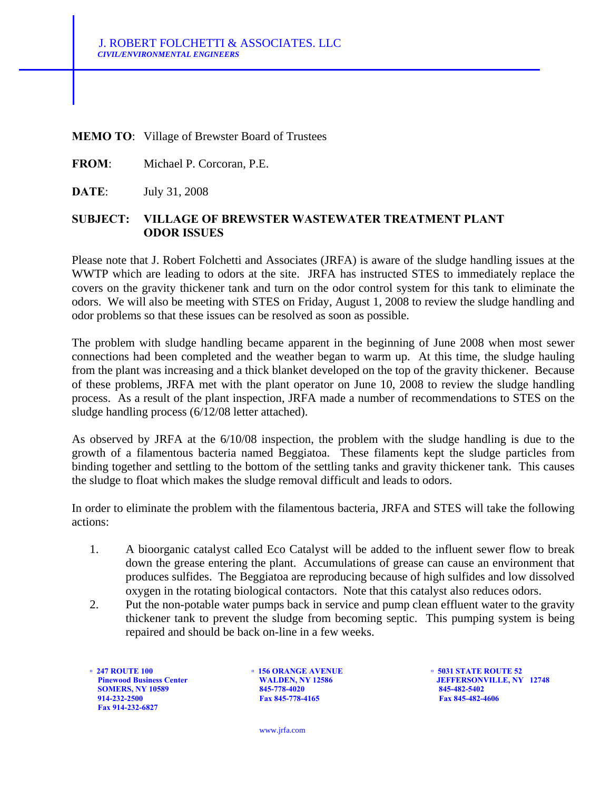## **MEMO TO**: Village of Brewster Board of Trustees

**FROM**: Michael P. Corcoran, P.E.

**DATE**: July 31, 2008

## **SUBJECT: VILLAGE OF BREWSTER WASTEWATER TREATMENT PLANT ODOR ISSUES**

Please note that J. Robert Folchetti and Associates (JRFA) is aware of the sludge handling issues at the WWTP which are leading to odors at the site. JRFA has instructed STES to immediately replace the covers on the gravity thickener tank and turn on the odor control system for this tank to eliminate the odors. We will also be meeting with STES on Friday, August 1, 2008 to review the sludge handling and odor problems so that these issues can be resolved as soon as possible.

The problem with sludge handling became apparent in the beginning of June 2008 when most sewer connections had been completed and the weather began to warm up. At this time, the sludge hauling from the plant was increasing and a thick blanket developed on the top of the gravity thickener. Because of these problems, JRFA met with the plant operator on June 10, 2008 to review the sludge handling process. As a result of the plant inspection, JRFA made a number of recommendations to STES on the sludge handling process (6/12/08 letter attached).

As observed by JRFA at the 6/10/08 inspection, the problem with the sludge handling is due to the growth of a filamentous bacteria named Beggiatoa. These filaments kept the sludge particles from binding together and settling to the bottom of the settling tanks and gravity thickener tank. This causes the sludge to float which makes the sludge removal difficult and leads to odors.

In order to eliminate the problem with the filamentous bacteria, JRFA and STES will take the following actions:

- 1. A bioorganic catalyst called Eco Catalyst will be added to the influent sewer flow to break down the grease entering the plant. Accumulations of grease can cause an environment that produces sulfides. The Beggiatoa are reproducing because of high sulfides and low dissolved oxygen in the rotating biological contactors. Note that this catalyst also reduces odors.
- 2. Put the non-potable water pumps back in service and pump clean effluent water to the gravity thickener tank to prevent the sludge from becoming septic. This pumping system is being repaired and should be back on-line in a few weeks.

<p>\n<b>•</b> 247 <b>ROUTE</b> 100 <b>•</b> 156 <b>ORANGE AVENUE</b> <b>•</b> 5031 <b>STATE ROUTE</b> 52<br/>\n<b>•</b> 5031 <b>STATE ROUTE</b> 52<br/>\n<b>•</b> 5031 <b>STATE ROUTE</b> 52<br/>\n<b>•</b> 5031 <b>STATE ROUTE</b> 52<br/>\n<b>•</b> 5031 <b>STATE ROUTE</b> 52<br/>\n<b>•</b> 5031 <b>STATE ROUTE</b> 52<br/>\n<b>•</b> 5031 <b>STATE  **Fax 914-232-6827**

**SOMERS, NY 10589** 845-778-4020 845-778-4020 845-482-4606 845-482-4606 845-482-4606 845-482-4606 **Fax 845-778-4165** 

**Pinewood Business Center WALDEN, NY 12586 JEFFERSONVILLE, NY 12748** 

www.jrfa.com